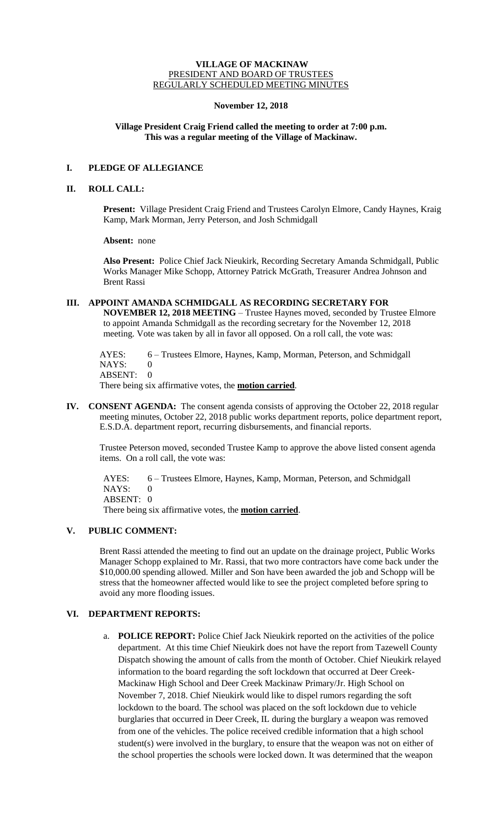#### **VILLAGE OF MACKINAW** PRESIDENT AND BOARD OF TRUSTEES REGULARLY SCHEDULED MEETING MINUTES

#### **November 12, 2018**

## **Village President Craig Friend called the meeting to order at 7:00 p.m. This was a regular meeting of the Village of Mackinaw.**

# **I. PLEDGE OF ALLEGIANCE**

### **II. ROLL CALL:**

**Present:** Village President Craig Friend and Trustees Carolyn Elmore, Candy Haynes, Kraig Kamp, Mark Morman, Jerry Peterson, and Josh Schmidgall

**Absent:** none

**Also Present:** Police Chief Jack Nieukirk, Recording Secretary Amanda Schmidgall, Public Works Manager Mike Schopp, Attorney Patrick McGrath, Treasurer Andrea Johnson and Brent Rassi

#### **III. APPOINT AMANDA SCHMIDGALL AS RECORDING SECRETARY FOR**

**NOVEMBER 12, 2018 MEETING** – Trustee Haynes moved, seconded by Trustee Elmore to appoint Amanda Schmidgall as the recording secretary for the November 12, 2018 meeting. Vote was taken by all in favor all opposed. On a roll call, the vote was:

AYES: 6 – Trustees Elmore, Haynes, Kamp, Morman, Peterson, and Schmidgall  $NAYS: 0$ ABSENT: 0

There being six affirmative votes, the **motion carried**.

**IV. CONSENT AGENDA:** The consent agenda consists of approving the October 22, 2018 regular meeting minutes, October 22, 2018 public works department reports, police department report, E.S.D.A. department report, recurring disbursements, and financial reports.

Trustee Peterson moved, seconded Trustee Kamp to approve the above listed consent agenda items. On a roll call, the vote was:

AYES: 6 – Trustees Elmore, Haynes, Kamp, Morman, Peterson, and Schmidgall  $NAYS: 0$ ABSENT: 0

There being six affirmative votes, the **motion carried**.

## **V. PUBLIC COMMENT:**

Brent Rassi attended the meeting to find out an update on the drainage project, Public Works Manager Schopp explained to Mr. Rassi, that two more contractors have come back under the \$10,000.00 spending allowed. Miller and Son have been awarded the job and Schopp will be stress that the homeowner affected would like to see the project completed before spring to avoid any more flooding issues.

## **VI. DEPARTMENT REPORTS:**

a. **POLICE REPORT:** Police Chief Jack Nieukirk reported on the activities of the police department. At this time Chief Nieukirk does not have the report from Tazewell County Dispatch showing the amount of calls from the month of October. Chief Nieukirk relayed information to the board regarding the soft lockdown that occurred at Deer Creek-Mackinaw High School and Deer Creek Mackinaw Primary/Jr. High School on November 7, 2018. Chief Nieukirk would like to dispel rumors regarding the soft lockdown to the board. The school was placed on the soft lockdown due to vehicle burglaries that occurred in Deer Creek, IL during the burglary a weapon was removed from one of the vehicles. The police received credible information that a high school student(s) were involved in the burglary, to ensure that the weapon was not on either of the school properties the schools were locked down. It was determined that the weapon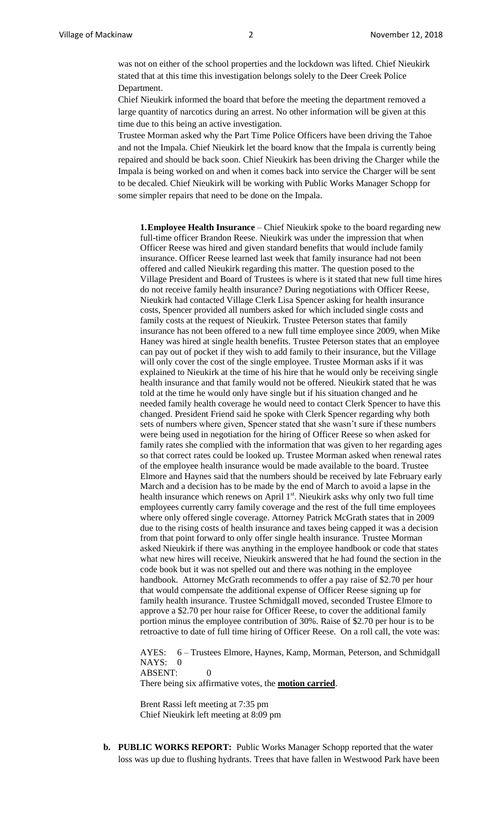was not on either of the school properties and the lockdown was lifted. Chief Nieukirk stated that at this time this investigation belongs solely to the Deer Creek Police Department.

Chief Nieukirk informed the board that before the meeting the department removed a large quantity of narcotics during an arrest. No other information will be given at this time due to this being an active investigation.

Trustee Morman asked why the Part Time Police Officers have been driving the Tahoe and not the Impala. Chief Nieukirk let the board know that the Impala is currently being repaired and should be back soon. Chief Nieukirk has been driving the Charger while the Impala is being worked on and when it comes back into service the Charger will be sent to be decaled. Chief Nieukirk will be working with Public Works Manager Schopp for some simpler repairs that need to be done on the Impala.

**1. Employee Health Insurance** – Chief Nieukirk spoke to the board regarding new full-time officer Brandon Reese. Nieukirk was under the impression that when Officer Reese was hired and given standard benefits that would include family insurance. Officer Reese learned last week that family insurance had not been offered and called Nieukirk regarding this matter. The question posed to the Village President and Board of Trustees is where is it stated that new full time hires do not receive family health insurance? During negotiations with Officer Reese, Nieukirk had contacted Village Clerk Lisa Spencer asking for health insurance costs, Spencer provided all numbers asked for which included single costs and family costs at the request of Nieukirk. Trustee Peterson states that family insurance has not been offered to a new full time employee since 2009, when Mike Haney was hired at single health benefits. Trustee Peterson states that an employee can pay out of pocket if they wish to add family to their insurance, but the Village will only cover the cost of the single employee. Trustee Morman asks if it was explained to Nieukirk at the time of his hire that he would only be receiving single health insurance and that family would not be offered. Nieukirk stated that he was told at the time he would only have single but if his situation changed and he needed family health coverage he would need to contact Clerk Spencer to have this changed. President Friend said he spoke with Clerk Spencer regarding why both sets of numbers where given, Spencer stated that she wasn't sure if these numbers were being used in negotiation for the hiring of Officer Reese so when asked for family rates she complied with the information that was given to her regarding ages so that correct rates could be looked up. Trustee Morman asked when renewal rates of the employee health insurance would be made available to the board. Trustee Elmore and Haynes said that the numbers should be received by late February early March and a decision has to be made by the end of March to avoid a lapse in the health insurance which renews on April  $1<sup>st</sup>$ . Nieukirk asks why only two full time employees currently carry family coverage and the rest of the full time employees where only offered single coverage. Attorney Patrick McGrath states that in 2009 due to the rising costs of health insurance and taxes being capped it was a decision from that point forward to only offer single health insurance. Trustee Morman asked Nieukirk if there was anything in the employee handbook or code that states what new hires will receive, Nieukirk answered that he had found the section in the code book but it was not spelled out and there was nothing in the employee handbook. Attorney McGrath recommends to offer a pay raise of \$2.70 per hour that would compensate the additional expense of Officer Reese signing up for family health insurance. Trustee Schmidgall moved, seconded Trustee Elmore to approve a \$2.70 per hour raise for Officer Reese, to cover the additional family portion minus the employee contribution of 30%. Raise of \$2.70 per hour is to be retroactive to date of full time hiring of Officer Reese. On a roll call, the vote was:

AYES: 6 – Trustees Elmore, Haynes, Kamp, Morman, Peterson, and Schmidgall NAYS: 0

ABSENT: 0

There being six affirmative votes, the **motion carried**.

Brent Rassi left meeting at 7:35 pm Chief Nieukirk left meeting at 8:09 pm

**b. PUBLIC WORKS REPORT:** Public Works Manager Schopp reported that the water loss was up due to flushing hydrants. Trees that have fallen in Westwood Park have been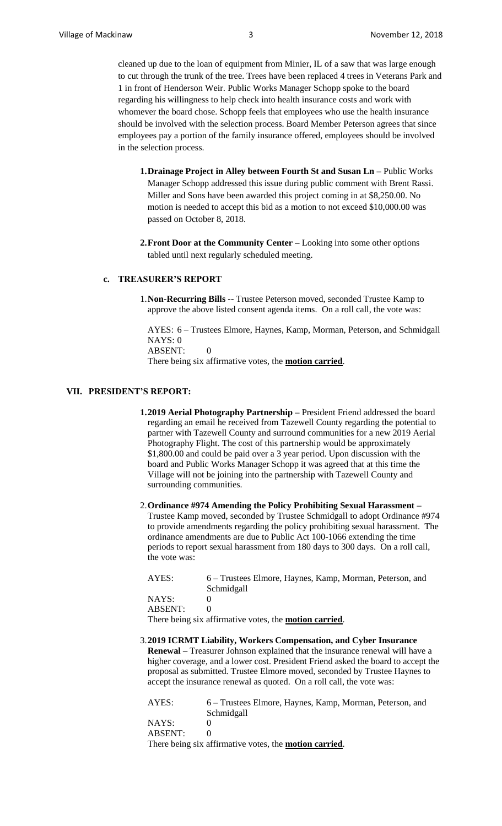cleaned up due to the loan of equipment from Minier, IL of a saw that was large enough to cut through the trunk of the tree. Trees have been replaced 4 trees in Veterans Park and 1 in front of Henderson Weir. Public Works Manager Schopp spoke to the board regarding his willingness to help check into health insurance costs and work with whomever the board chose. Schopp feels that employees who use the health insurance should be involved with the selection process. Board Member Peterson agrees that since employees pay a portion of the family insurance offered, employees should be involved in the selection process.

- **1.Drainage Project in Alley between Fourth St and Susan Ln –** Public Works Manager Schopp addressed this issue during public comment with Brent Rassi. Miller and Sons have been awarded this project coming in at \$8,250.00. No motion is needed to accept this bid as a motion to not exceed \$10,000.00 was passed on October 8, 2018.
- **2.Front Door at the Community Center –** Looking into some other options tabled until next regularly scheduled meeting.

## **c. TREASURER'S REPORT**

1.**Non-Recurring Bills --** Trustee Peterson moved, seconded Trustee Kamp to approve the above listed consent agenda items. On a roll call, the vote was:

AYES: 6 – Trustees Elmore, Haynes, Kamp, Morman, Peterson, and Schmidgall NAYS: 0 ABSENT: 0 There being six affirmative votes, the **motion carried**.

#### **VII. PRESIDENT'S REPORT:**

- **1.2019 Aerial Photography Partnership –** President Friend addressed the board regarding an email he received from Tazewell County regarding the potential to partner with Tazewell County and surround communities for a new 2019 Aerial Photography Flight. The cost of this partnership would be approximately \$1,800.00 and could be paid over a 3 year period. Upon discussion with the board and Public Works Manager Schopp it was agreed that at this time the Village will not be joining into the partnership with Tazewell County and surrounding communities.
- 2.**Ordinance #974 Amending the Policy Prohibiting Sexual Harassment –** Trustee Kamp moved, seconded by Trustee Schmidgall to adopt Ordinance #974 to provide amendments regarding the policy prohibiting sexual harassment. The ordinance amendments are due to Public Act 100-1066 extending the time periods to report sexual harassment from 180 days to 300 days. On a roll call, the vote was:

| AYES:          | 6 – Trustees Elmore, Haynes, Kamp, Morman, Peterson, and       |
|----------------|----------------------------------------------------------------|
|                | Schmidgall                                                     |
| NAYS:          |                                                                |
| <b>ABSENT:</b> |                                                                |
|                | There being six affirmative votes, the <b>motion carried</b> . |

3.**2019 ICRMT Liability, Workers Compensation, and Cyber Insurance Renewal –** Treasurer Johnson explained that the insurance renewal will have a higher coverage, and a lower cost. President Friend asked the board to accept the proposal as submitted. Trustee Elmore moved, seconded by Trustee Haynes to accept the insurance renewal as quoted. On a roll call, the vote was:

AYES: 6 – Trustees Elmore, Haynes, Kamp, Morman, Peterson, and Schmidgall NAYS: 0 ABSENT: 0

There being six affirmative votes, the **motion carried**.